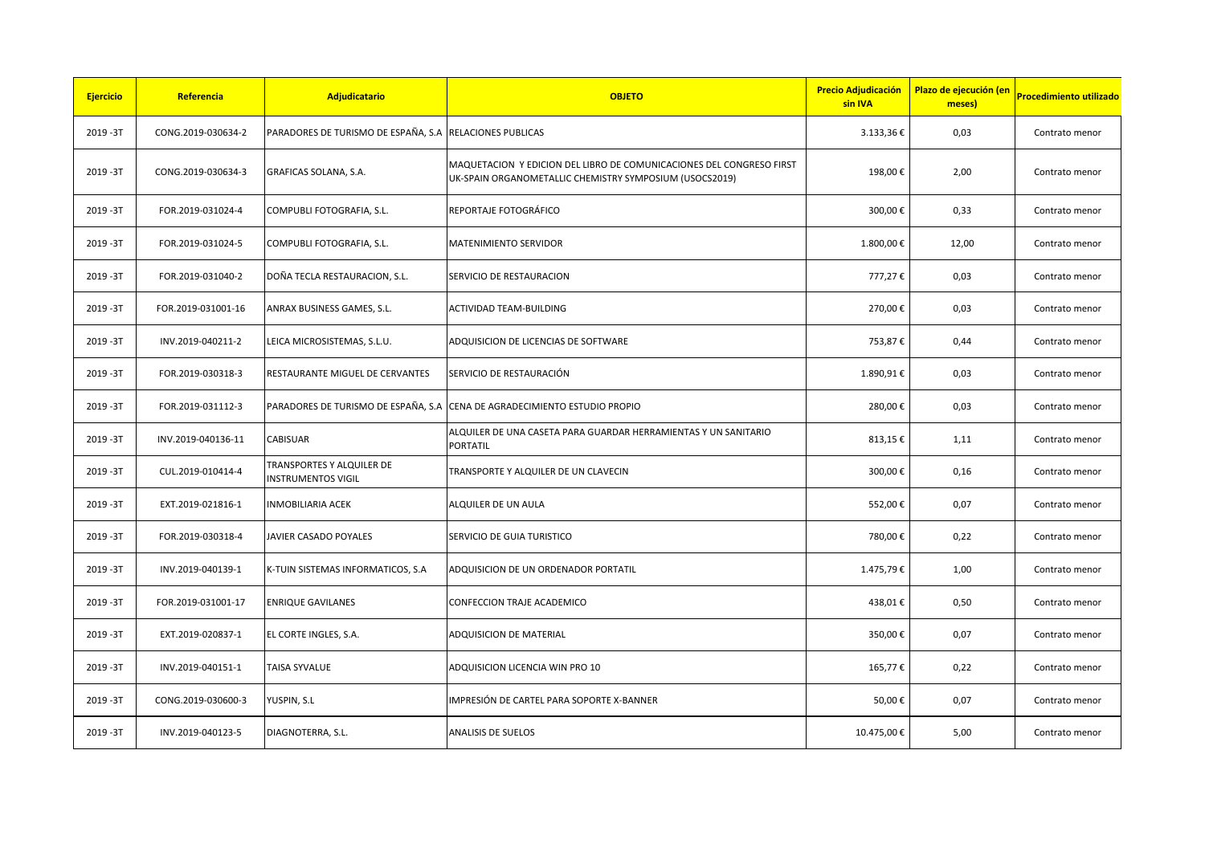| <b>Ejercicio</b> | Referencia         | Adjudicatario                                           | <b>OBJETO</b>                                                                                                                   | <b>Precio Adjudicación</b><br>sin IVA | Plazo de ejecución (en<br>meses) | <b>Procedimiento utilizado</b> |
|------------------|--------------------|---------------------------------------------------------|---------------------------------------------------------------------------------------------------------------------------------|---------------------------------------|----------------------------------|--------------------------------|
| 2019-3T          | CONG.2019-030634-2 | PARADORES DE TURISMO DE ESPAÑA, S.A RELACIONES PUBLICAS |                                                                                                                                 | 3.133,36€                             | 0,03                             | Contrato menor                 |
| 2019-3T          | CONG.2019-030634-3 | GRAFICAS SOLANA, S.A.                                   | MAQUETACION Y EDICION DEL LIBRO DE COMUNICACIONES DEL CONGRESO FIRST<br>UK-SPAIN ORGANOMETALLIC CHEMISTRY SYMPOSIUM (USOCS2019) | 198,00€                               | 2,00                             | Contrato menor                 |
| 2019-3T          | FOR.2019-031024-4  | COMPUBLI FOTOGRAFIA, S.L.                               | REPORTAJE FOTOGRÁFICO                                                                                                           | 300,00€                               | 0,33                             | Contrato menor                 |
| 2019-3T          | FOR.2019-031024-5  | COMPUBLI FOTOGRAFIA, S.L.                               | MATENIMIENTO SERVIDOR                                                                                                           | 1.800,00€                             | 12,00                            | Contrato menor                 |
| 2019-3T          | FOR.2019-031040-2  | DOÑA TECLA RESTAURACION, S.L.                           | SERVICIO DE RESTAURACION                                                                                                        | 777,27€                               | 0,03                             | Contrato menor                 |
| 2019-3T          | FOR.2019-031001-16 | ANRAX BUSINESS GAMES, S.L.                              | ACTIVIDAD TEAM-BUILDING                                                                                                         | 270,00€                               | 0,03                             | Contrato menor                 |
| 2019-3T          | INV.2019-040211-2  | LEICA MICROSISTEMAS, S.L.U.                             | ADQUISICION DE LICENCIAS DE SOFTWARE                                                                                            | 753,87€                               | 0,44                             | Contrato menor                 |
| 2019-3T          | FOR.2019-030318-3  | RESTAURANTE MIGUEL DE CERVANTES                         | SERVICIO DE RESTAURACIÓN                                                                                                        | 1.890,91€                             | 0,03                             | Contrato menor                 |
| 2019-3T          | FOR.2019-031112-3  | PARADORES DE TURISMO DE ESPAÑA, S.A                     | CENA DE AGRADECIMIENTO ESTUDIO PROPIO                                                                                           | 280,00€                               | 0,03                             | Contrato menor                 |
| 2019-3T          | INV.2019-040136-11 | CABISUAR                                                | ALQUILER DE UNA CASETA PARA GUARDAR HERRAMIENTAS Y UN SANITARIO<br>PORTATIL                                                     | 813,15€                               | 1,11                             | Contrato menor                 |
| 2019-3T          | CUL.2019-010414-4  | TRANSPORTES Y ALQUILER DE<br><b>INSTRUMENTOS VIGIL</b>  | TRANSPORTE Y ALQUILER DE UN CLAVECIN                                                                                            | 300,00€                               | 0,16                             | Contrato menor                 |
| 2019-3T          | EXT.2019-021816-1  | <b>INMOBILIARIA ACEK</b>                                | ALQUILER DE UN AULA                                                                                                             | 552,00€                               | 0,07                             | Contrato menor                 |
| 2019-3T          | FOR.2019-030318-4  | JAVIER CASADO POYALES                                   | SERVICIO DE GUIA TURISTICO                                                                                                      | 780,00€                               | 0,22                             | Contrato menor                 |
| 2019-3T          | INV.2019-040139-1  | K-TUIN SISTEMAS INFORMATICOS, S.A                       | ADQUISICION DE UN ORDENADOR PORTATIL                                                                                            | 1.475,79€                             | 1,00                             | Contrato menor                 |
| 2019-3T          | FOR.2019-031001-17 | <b>ENRIQUE GAVILANES</b>                                | CONFECCION TRAJE ACADEMICO                                                                                                      | 438,01€                               | 0,50                             | Contrato menor                 |
| 2019-3T          | EXT.2019-020837-1  | EL CORTE INGLES, S.A.                                   | ADQUISICION DE MATERIAL                                                                                                         | 350,00€                               | 0,07                             | Contrato menor                 |
| 2019-3T          | INV.2019-040151-1  | TAISA SYVALUE                                           | ADQUISICION LICENCIA WIN PRO 10                                                                                                 | 165,77€                               | 0,22                             | Contrato menor                 |
| 2019-3T          | CONG.2019-030600-3 | YUSPIN, S.L                                             | IMPRESIÓN DE CARTEL PARA SOPORTE X-BANNER                                                                                       | 50,00€                                | 0,07                             | Contrato menor                 |
| 2019-3T          | INV.2019-040123-5  | DIAGNOTERRA, S.L.                                       | <b>ANALISIS DE SUELOS</b>                                                                                                       | 10.475,00€                            | 5,00                             | Contrato menor                 |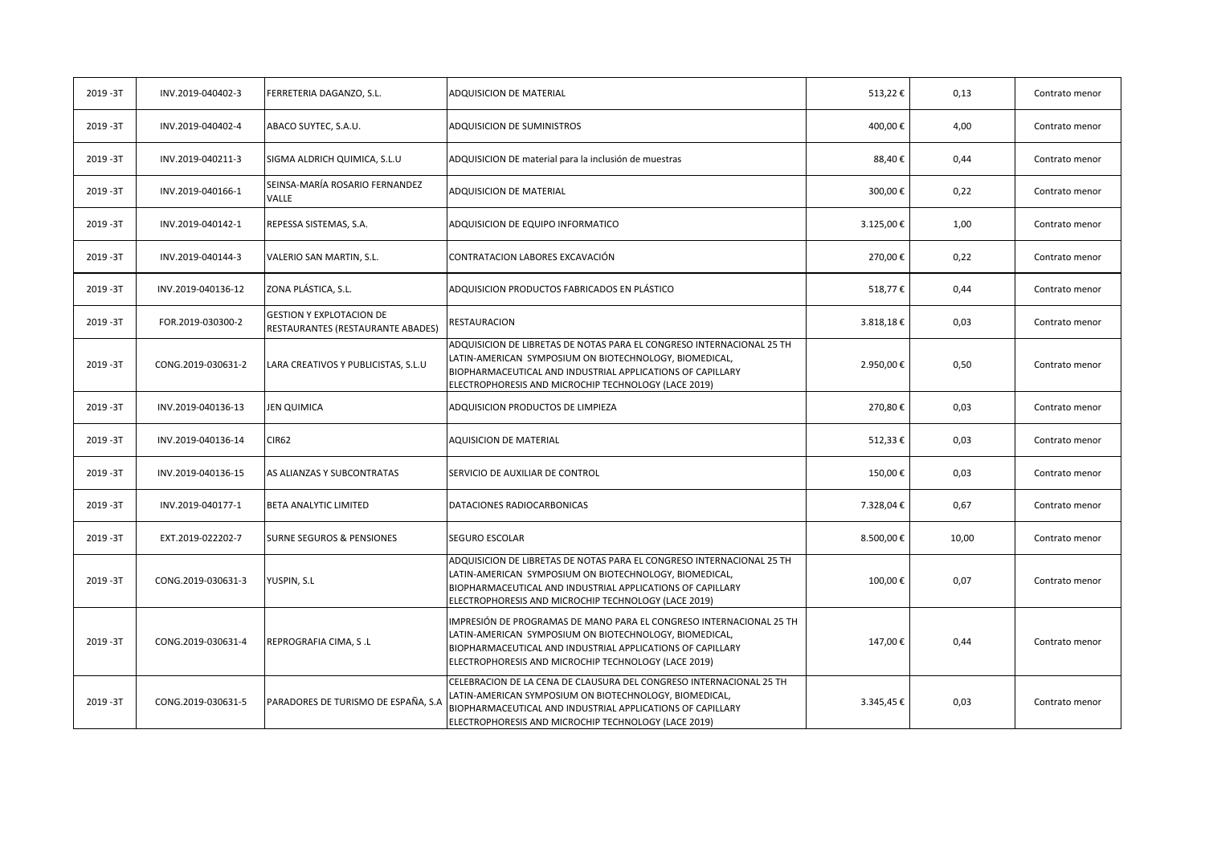| 2019-3T | INV.2019-040402-3  | FERRETERIA DAGANZO, S.L.                                             | ADQUISICION DE MATERIAL                                                                                                                                                                                                                               | 513,22€   | 0,13  | Contrato menor |
|---------|--------------------|----------------------------------------------------------------------|-------------------------------------------------------------------------------------------------------------------------------------------------------------------------------------------------------------------------------------------------------|-----------|-------|----------------|
| 2019-3T | INV.2019-040402-4  | ABACO SUYTEC, S.A.U.                                                 | ADQUISICION DE SUMINISTROS                                                                                                                                                                                                                            | 400,00€   | 4,00  | Contrato menor |
| 2019-3T | INV.2019-040211-3  | SIGMA ALDRICH QUIMICA, S.L.U                                         | ADQUISICION DE material para la inclusión de muestras                                                                                                                                                                                                 | 88,40€    | 0,44  | Contrato menor |
| 2019-3T | INV.2019-040166-1  | SEINSA-MARÍA ROSARIO FERNANDEZ<br><b>VALLE</b>                       | ADQUISICION DE MATERIAL                                                                                                                                                                                                                               | 300,00€   | 0,22  | Contrato menor |
| 2019-3T | INV.2019-040142-1  | REPESSA SISTEMAS, S.A.                                               | ADQUISICION DE EQUIPO INFORMATICO                                                                                                                                                                                                                     | 3.125,00€ | 1,00  | Contrato menor |
| 2019-3T | INV.2019-040144-3  | VALERIO SAN MARTIN, S.L.                                             | CONTRATACION LABORES EXCAVACIÓN                                                                                                                                                                                                                       | 270,00€   | 0,22  | Contrato menor |
| 2019-3T | INV.2019-040136-12 | ZONA PLÁSTICA, S.L.                                                  | ADQUISICION PRODUCTOS FABRICADOS EN PLÁSTICO                                                                                                                                                                                                          | 518,77€   | 0,44  | Contrato menor |
| 2019-3T | FOR.2019-030300-2  | <b>GESTION Y EXPLOTACION DE</b><br>RESTAURANTES (RESTAURANTE ABADES) | RESTAURACION                                                                                                                                                                                                                                          | 3.818,18€ | 0,03  | Contrato menor |
| 2019-3T | CONG.2019-030631-2 | LARA CREATIVOS Y PUBLICISTAS, S.L.U                                  | ADQUISICION DE LIBRETAS DE NOTAS PARA EL CONGRESO INTERNACIONAL 25 TH<br>LATIN-AMERICAN SYMPOSIUM ON BIOTECHNOLOGY, BIOMEDICAL,<br>BIOPHARMACEUTICAL AND INDUSTRIAL APPLICATIONS OF CAPILLARY<br>ELECTROPHORESIS AND MICROCHIP TECHNOLOGY (LACE 2019) | 2.950,00€ | 0,50  | Contrato menor |
| 2019-3T | INV.2019-040136-13 | <b>JEN QUIMICA</b>                                                   | ADQUISICION PRODUCTOS DE LIMPIEZA                                                                                                                                                                                                                     | 270,80€   | 0,03  | Contrato menor |
| 2019-3T | INV.2019-040136-14 | <b>CIR62</b>                                                         | <b>AQUISICION DE MATERIAL</b>                                                                                                                                                                                                                         | 512,33€   | 0,03  | Contrato menor |
| 2019-3T | INV.2019-040136-15 | AS ALIANZAS Y SUBCONTRATAS                                           | SERVICIO DE AUXILIAR DE CONTROL                                                                                                                                                                                                                       | 150,00€   | 0,03  | Contrato menor |
| 2019-3T | INV.2019-040177-1  | BETA ANALYTIC LIMITED                                                | DATACIONES RADIOCARBONICAS                                                                                                                                                                                                                            | 7.328,04€ | 0,67  | Contrato menor |
| 2019-3T | EXT.2019-022202-7  | <b>SURNE SEGUROS &amp; PENSIONES</b>                                 | SEGURO ESCOLAR                                                                                                                                                                                                                                        | 8.500,00€ | 10,00 | Contrato menor |
| 2019-3T | CONG.2019-030631-3 | YUSPIN, S.L                                                          | ADQUISICION DE LIBRETAS DE NOTAS PARA EL CONGRESO INTERNACIONAL 25 TH<br>LATIN-AMERICAN SYMPOSIUM ON BIOTECHNOLOGY, BIOMEDICAL,<br>BIOPHARMACEUTICAL AND INDUSTRIAL APPLICATIONS OF CAPILLARY<br>ELECTROPHORESIS AND MICROCHIP TECHNOLOGY (LACE 2019) | 100,00€   | 0,07  | Contrato menor |
| 2019-3T | CONG.2019-030631-4 | REPROGRAFIA CIMA, S.L                                                | IMPRESIÓN DE PROGRAMAS DE MANO PARA EL CONGRESO INTERNACIONAL 25 TH<br>LATIN-AMERICAN SYMPOSIUM ON BIOTECHNOLOGY, BIOMEDICAL,<br>BIOPHARMACEUTICAL AND INDUSTRIAL APPLICATIONS OF CAPILLARY<br>ELECTROPHORESIS AND MICROCHIP TECHNOLOGY (LACE 2019)   | 147,00€   | 0,44  | Contrato menor |
| 2019-3T | CONG.2019-030631-5 | PARADORES DE TURISMO DE ESPAÑA, S.A                                  | CELEBRACION DE LA CENA DE CLAUSURA DEL CONGRESO INTERNACIONAL 25 TH<br>LATIN-AMERICAN SYMPOSIUM ON BIOTECHNOLOGY, BIOMEDICAL,<br>BIOPHARMACEUTICAL AND INDUSTRIAL APPLICATIONS OF CAPILLARY<br>ELECTROPHORESIS AND MICROCHIP TECHNOLOGY (LACE 2019)   | 3.345,45€ | 0,03  | Contrato menor |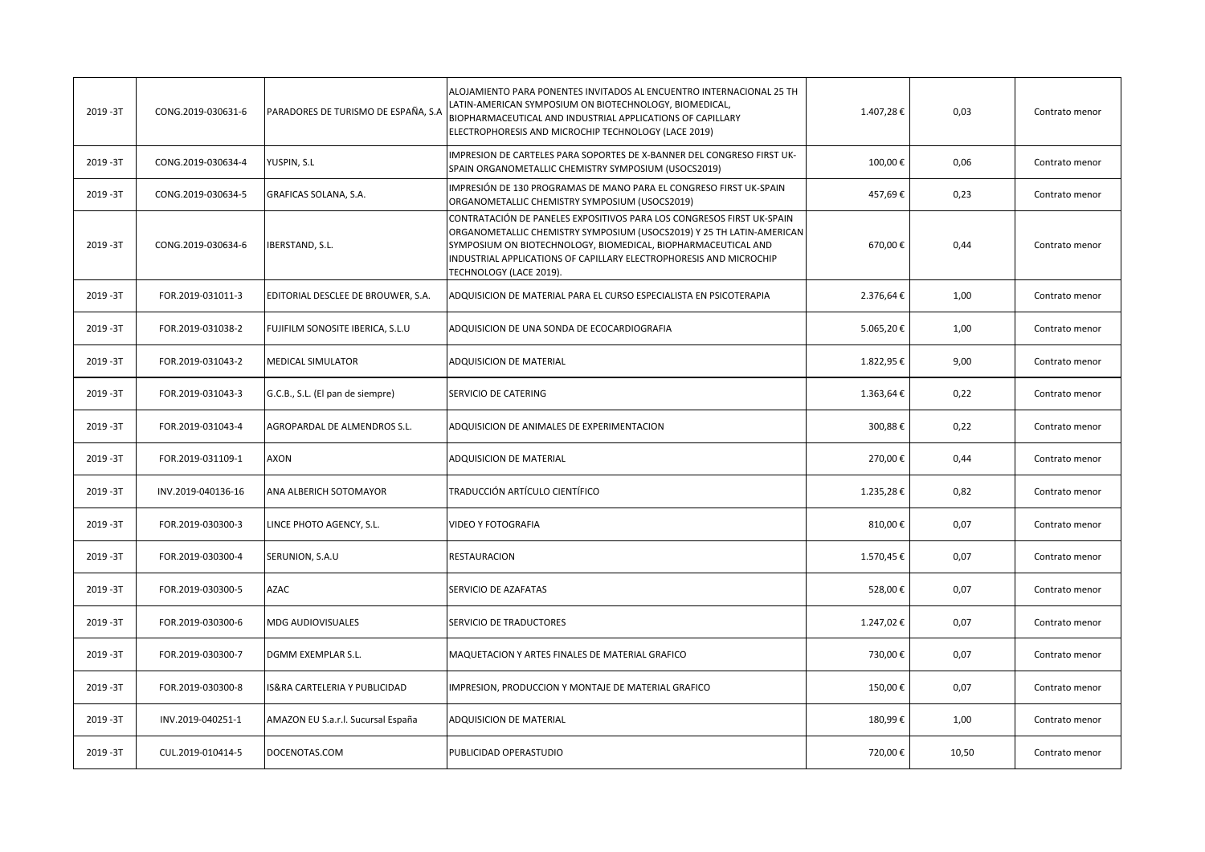| 2019-3T   | CONG.2019-030631-6 | PARADORES DE TURISMO DE ESPAÑA, S.A | ALOJAMIENTO PARA PONENTES INVITADOS AL ENCUENTRO INTERNACIONAL 25 TH<br>LATIN-AMERICAN SYMPOSIUM ON BIOTECHNOLOGY, BIOMEDICAL,<br>BIOPHARMACEUTICAL AND INDUSTRIAL APPLICATIONS OF CAPILLARY<br>ELECTROPHORESIS AND MICROCHIP TECHNOLOGY (LACE 2019)                                                             | 1.407,28€ | 0,03  | Contrato menor |
|-----------|--------------------|-------------------------------------|------------------------------------------------------------------------------------------------------------------------------------------------------------------------------------------------------------------------------------------------------------------------------------------------------------------|-----------|-------|----------------|
| 2019-3T   | CONG.2019-030634-4 | YUSPIN, S.L                         | IMPRESION DE CARTELES PARA SOPORTES DE X-BANNER DEL CONGRESO FIRST UK-<br>SPAIN ORGANOMETALLIC CHEMISTRY SYMPOSIUM (USOCS2019)                                                                                                                                                                                   | 100,00€   | 0,06  | Contrato menor |
| 2019-3T   | CONG.2019-030634-5 | GRAFICAS SOLANA, S.A.               | IMPRESIÓN DE 130 PROGRAMAS DE MANO PARA EL CONGRESO FIRST UK-SPAIN<br>ORGANOMETALLIC CHEMISTRY SYMPOSIUM (USOCS2019)                                                                                                                                                                                             | 457,69€   | 0,23  | Contrato menor |
| 2019-3T   | CONG.2019-030634-6 | IBERSTAND, S.L.                     | CONTRATACIÓN DE PANELES EXPOSITIVOS PARA LOS CONGRESOS FIRST UK-SPAIN<br>ORGANOMETALLIC CHEMISTRY SYMPOSIUM (USOCS2019) Y 25 TH LATIN-AMERICAN<br>SYMPOSIUM ON BIOTECHNOLOGY, BIOMEDICAL, BIOPHARMACEUTICAL AND<br>INDUSTRIAL APPLICATIONS OF CAPILLARY ELECTROPHORESIS AND MICROCHIP<br>TECHNOLOGY (LACE 2019). | 670,00€   | 0,44  | Contrato menor |
| 2019-3T   | FOR.2019-031011-3  | EDITORIAL DESCLEE DE BROUWER, S.A.  | ADQUISICION DE MATERIAL PARA EL CURSO ESPECIALISTA EN PSICOTERAPIA                                                                                                                                                                                                                                               | 2.376,64€ | 1,00  | Contrato menor |
| 2019 - 3T | FOR.2019-031038-2  | FUJIFILM SONOSITE IBERICA, S.L.U    | ADQUISICION DE UNA SONDA DE ECOCARDIOGRAFIA                                                                                                                                                                                                                                                                      | 5.065,20€ | 1,00  | Contrato menor |
| 2019-3T   | FOR.2019-031043-2  | MEDICAL SIMULATOR                   | ADQUISICION DE MATERIAL                                                                                                                                                                                                                                                                                          | 1.822,95€ | 9,00  | Contrato menor |
| 2019-3T   | FOR.2019-031043-3  | G.C.B., S.L. (El pan de siempre)    | SERVICIO DE CATERING                                                                                                                                                                                                                                                                                             | 1.363,64€ | 0,22  | Contrato menor |
| 2019-3T   | FOR.2019-031043-4  | AGROPARDAL DE ALMENDROS S.L.        | ADQUISICION DE ANIMALES DE EXPERIMENTACION                                                                                                                                                                                                                                                                       | 300,88€   | 0,22  | Contrato menor |
| 2019-3T   | FOR.2019-031109-1  | AXON                                | ADQUISICION DE MATERIAL                                                                                                                                                                                                                                                                                          | 270,00€   | 0,44  | Contrato menor |
| 2019-3T   | INV.2019-040136-16 | ANA ALBERICH SOTOMAYOR              | TRADUCCIÓN ARTÍCULO CIENTÍFICO                                                                                                                                                                                                                                                                                   | 1.235,28€ | 0,82  | Contrato menor |
| 2019-3T   | FOR.2019-030300-3  | LINCE PHOTO AGENCY, S.L.            | VIDEO Y FOTOGRAFIA                                                                                                                                                                                                                                                                                               | 810,00€   | 0,07  | Contrato menor |
| 2019-3T   | FOR.2019-030300-4  | SERUNION, S.A.U                     | RESTAURACION                                                                                                                                                                                                                                                                                                     | 1.570,45€ | 0,07  | Contrato menor |
| 2019-3T   | FOR.2019-030300-5  | <b>AZAC</b>                         | SERVICIO DE AZAFATAS                                                                                                                                                                                                                                                                                             | 528,00€   | 0,07  | Contrato menor |
| 2019-3T   | FOR.2019-030300-6  | MDG AUDIOVISUALES                   | SERVICIO DE TRADUCTORES                                                                                                                                                                                                                                                                                          | 1.247,02€ | 0,07  | Contrato menor |
| 2019-3T   | FOR.2019-030300-7  | DGMM EXEMPLAR S.L.                  | MAQUETACION Y ARTES FINALES DE MATERIAL GRAFICO                                                                                                                                                                                                                                                                  | 730,00€   | 0,07  | Contrato menor |
| 2019-3T   | FOR.2019-030300-8  | S&RA CARTELERIA Y PUBLICIDAD        | IMPRESION, PRODUCCION Y MONTAJE DE MATERIAL GRAFICO                                                                                                                                                                                                                                                              | 150,00€   | 0,07  | Contrato menor |
| 2019-3T   | INV.2019-040251-1  | AMAZON EU S.a.r.l. Sucursal España  | ADQUISICION DE MATERIAL                                                                                                                                                                                                                                                                                          | 180,99€   | 1,00  | Contrato menor |
| 2019-3T   | CUL.2019-010414-5  | DOCENOTAS.COM                       | PUBLICIDAD OPERASTUDIO                                                                                                                                                                                                                                                                                           | 720,00€   | 10,50 | Contrato menor |